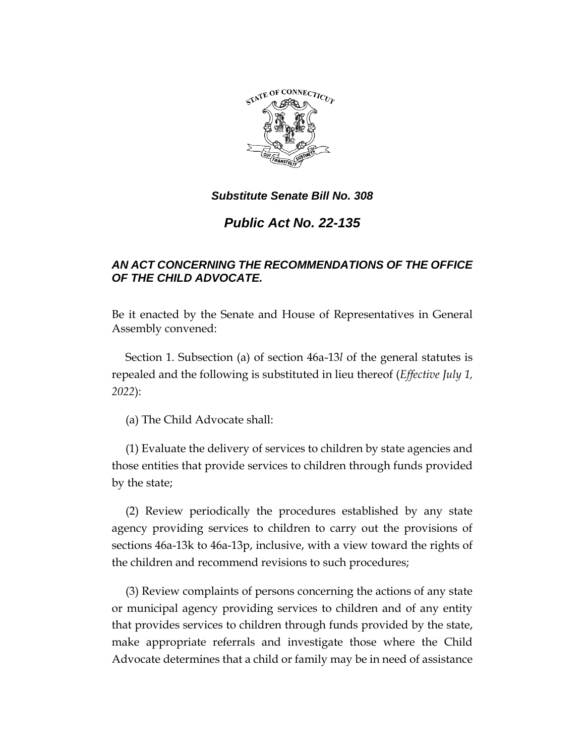

# *Public Act No. 22-135*

## *AN ACT CONCERNING THE RECOMMENDATIONS OF THE OFFICE OF THE CHILD ADVOCATE.*

Be it enacted by the Senate and House of Representatives in General Assembly convened:

Section 1. Subsection (a) of section 46a-13*l* of the general statutes is repealed and the following is substituted in lieu thereof (*Effective July 1, 2022*):

(a) The Child Advocate shall:

(1) Evaluate the delivery of services to children by state agencies and those entities that provide services to children through funds provided by the state;

(2) Review periodically the procedures established by any state agency providing services to children to carry out the provisions of sections 46a-13k to 46a-13p, inclusive, with a view toward the rights of the children and recommend revisions to such procedures;

(3) Review complaints of persons concerning the actions of any state or municipal agency providing services to children and of any entity that provides services to children through funds provided by the state, make appropriate referrals and investigate those where the Child Advocate determines that a child or family may be in need of assistance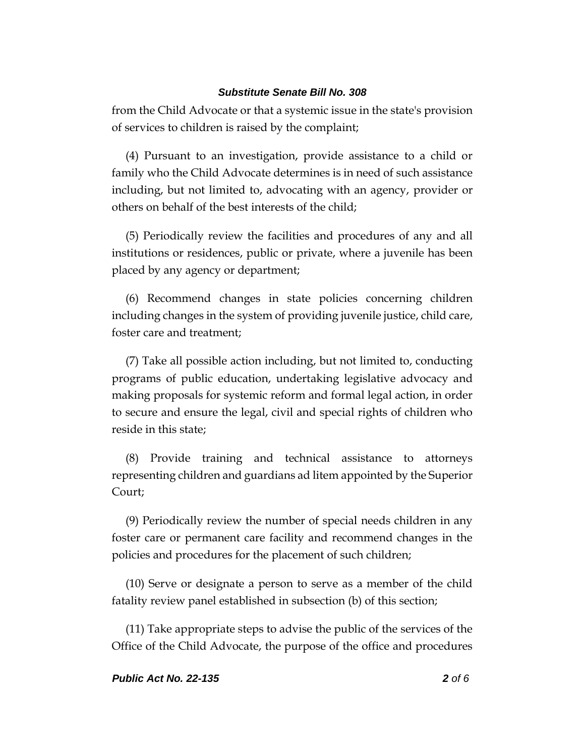from the Child Advocate or that a systemic issue in the state's provision of services to children is raised by the complaint;

(4) Pursuant to an investigation, provide assistance to a child or family who the Child Advocate determines is in need of such assistance including, but not limited to, advocating with an agency, provider or others on behalf of the best interests of the child;

(5) Periodically review the facilities and procedures of any and all institutions or residences, public or private, where a juvenile has been placed by any agency or department;

(6) Recommend changes in state policies concerning children including changes in the system of providing juvenile justice, child care, foster care and treatment;

(7) Take all possible action including, but not limited to, conducting programs of public education, undertaking legislative advocacy and making proposals for systemic reform and formal legal action, in order to secure and ensure the legal, civil and special rights of children who reside in this state;

(8) Provide training and technical assistance to attorneys representing children and guardians ad litem appointed by the Superior Court;

(9) Periodically review the number of special needs children in any foster care or permanent care facility and recommend changes in the policies and procedures for the placement of such children;

(10) Serve or designate a person to serve as a member of the child fatality review panel established in subsection (b) of this section;

(11) Take appropriate steps to advise the public of the services of the Office of the Child Advocate, the purpose of the office and procedures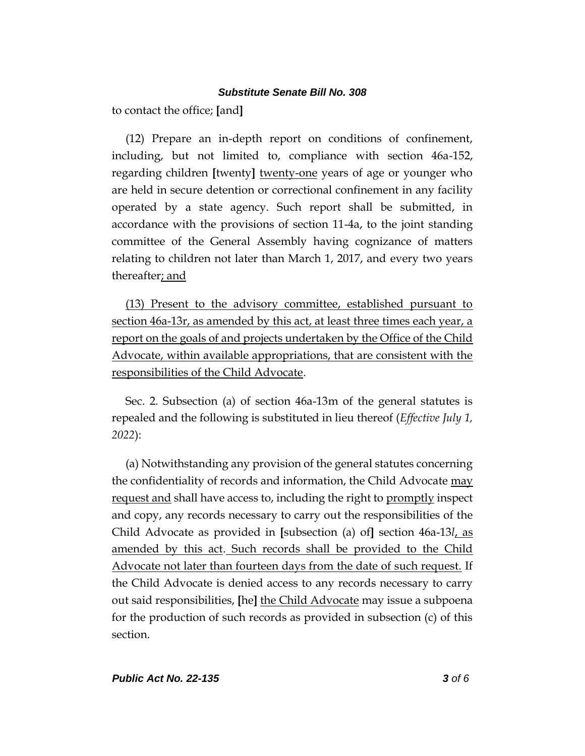to contact the office; **[**and**]**

(12) Prepare an in-depth report on conditions of confinement, including, but not limited to, compliance with section 46a-152, regarding children **[**twenty**]** twenty-one years of age or younger who are held in secure detention or correctional confinement in any facility operated by a state agency. Such report shall be submitted, in accordance with the provisions of section 11-4a, to the joint standing committee of the General Assembly having cognizance of matters relating to children not later than March 1, 2017, and every two years thereafter; and

(13) Present to the advisory committee, established pursuant to section 46a-13r, as amended by this act, at least three times each year, a report on the goals of and projects undertaken by the Office of the Child Advocate, within available appropriations, that are consistent with the responsibilities of the Child Advocate.

Sec. 2. Subsection (a) of section 46a-13m of the general statutes is repealed and the following is substituted in lieu thereof (*Effective July 1, 2022*):

(a) Notwithstanding any provision of the general statutes concerning the confidentiality of records and information, the Child Advocate may request and shall have access to, including the right to promptly inspect and copy, any records necessary to carry out the responsibilities of the Child Advocate as provided in **[**subsection (a) of**]** section 46a-13*l*, as amended by this act. Such records shall be provided to the Child Advocate not later than fourteen days from the date of such request. If the Child Advocate is denied access to any records necessary to carry out said responsibilities, **[**he**]** the Child Advocate may issue a subpoena for the production of such records as provided in subsection (c) of this section.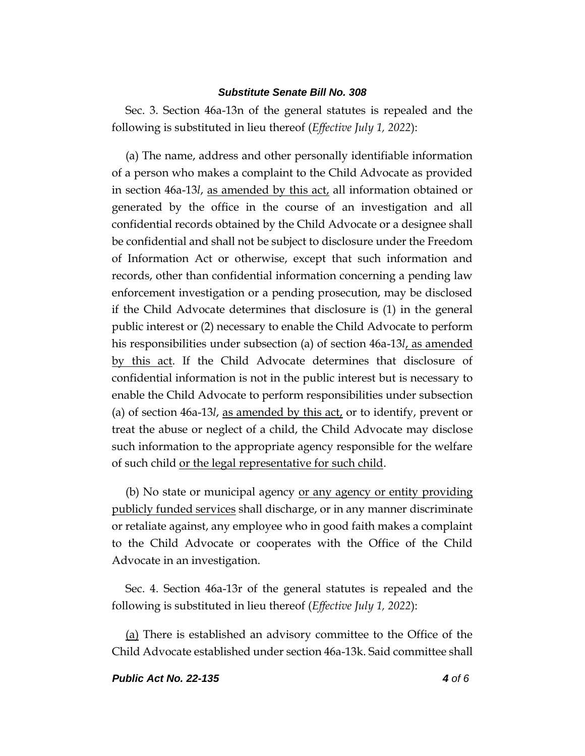Sec. 3. Section 46a-13n of the general statutes is repealed and the following is substituted in lieu thereof (*Effective July 1, 2022*):

(a) The name, address and other personally identifiable information of a person who makes a complaint to the Child Advocate as provided in section 46a-13*l*, as amended by this act, all information obtained or generated by the office in the course of an investigation and all confidential records obtained by the Child Advocate or a designee shall be confidential and shall not be subject to disclosure under the Freedom of Information Act or otherwise, except that such information and records, other than confidential information concerning a pending law enforcement investigation or a pending prosecution, may be disclosed if the Child Advocate determines that disclosure is (1) in the general public interest or (2) necessary to enable the Child Advocate to perform his responsibilities under subsection (a) of section 46a-13*l*, as amended by this act. If the Child Advocate determines that disclosure of confidential information is not in the public interest but is necessary to enable the Child Advocate to perform responsibilities under subsection (a) of section 46a-13*l*, as amended by this act, or to identify, prevent or treat the abuse or neglect of a child, the Child Advocate may disclose such information to the appropriate agency responsible for the welfare of such child or the legal representative for such child.

(b) No state or municipal agency or any agency or entity providing publicly funded services shall discharge, or in any manner discriminate or retaliate against, any employee who in good faith makes a complaint to the Child Advocate or cooperates with the Office of the Child Advocate in an investigation.

Sec. 4. Section 46a-13r of the general statutes is repealed and the following is substituted in lieu thereof (*Effective July 1, 2022*):

(a) There is established an advisory committee to the Office of the Child Advocate established under section 46a-13k. Said committee shall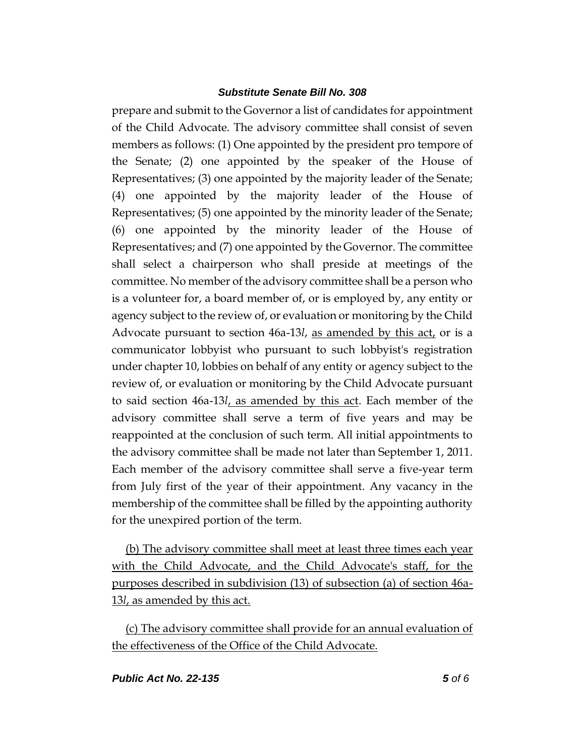prepare and submit to the Governor a list of candidates for appointment of the Child Advocate. The advisory committee shall consist of seven members as follows: (1) One appointed by the president pro tempore of the Senate; (2) one appointed by the speaker of the House of Representatives; (3) one appointed by the majority leader of the Senate; (4) one appointed by the majority leader of the House of Representatives; (5) one appointed by the minority leader of the Senate; (6) one appointed by the minority leader of the House of Representatives; and (7) one appointed by the Governor. The committee shall select a chairperson who shall preside at meetings of the committee. No member of the advisory committee shall be a person who is a volunteer for, a board member of, or is employed by, any entity or agency subject to the review of, or evaluation or monitoring by the Child Advocate pursuant to section 46a-13*l*, as amended by this act, or is a communicator lobbyist who pursuant to such lobbyist's registration under chapter 10, lobbies on behalf of any entity or agency subject to the review of, or evaluation or monitoring by the Child Advocate pursuant to said section 46a-13*l*, as amended by this act. Each member of the advisory committee shall serve a term of five years and may be reappointed at the conclusion of such term. All initial appointments to the advisory committee shall be made not later than September 1, 2011. Each member of the advisory committee shall serve a five-year term from July first of the year of their appointment. Any vacancy in the membership of the committee shall be filled by the appointing authority for the unexpired portion of the term.

(b) The advisory committee shall meet at least three times each year with the Child Advocate, and the Child Advocate's staff, for the purposes described in subdivision (13) of subsection (a) of section 46a-13*l*, as amended by this act.

(c) The advisory committee shall provide for an annual evaluation of the effectiveness of the Office of the Child Advocate.